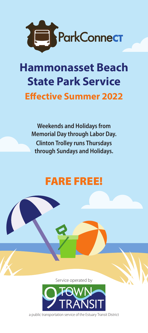

# **Hammonasset Beach State Park Service Effective Summer 2022**

**Weekends and Holidays from Memorial Day through Labor Day. Clinton Trolley runs Thursdays through Sundays and Holidays.** 

# FARE FREE!

Service operated by



a public transportation service of the Estuary Transit District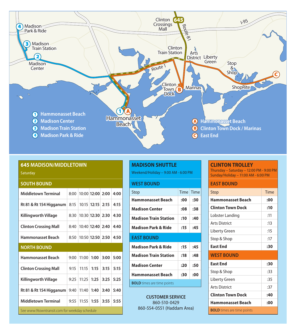

| Saturday |  |  |
|----------|--|--|
|          |  |  |

| <b>SOUTH BOUND</b>                            |      |       |                    |      |      |
|-----------------------------------------------|------|-------|--------------------|------|------|
| <b>Middletown Terminal</b>                    | 8:00 |       | 10:00 12:00 2:00   |      | 4:00 |
| Rt 81 & Rt 154 Higganum                       | 8:15 |       | $10:15$ 12:15      | 2:15 | 4:15 |
| Killingworth Village                          | 8:30 |       | 10:30 12:30 2:30   |      | 4:30 |
| <b>Clinton Crossing Mall</b>                  | 8:40 |       | $10:40$ 12:40 2:40 |      | 4:40 |
| Hammonasset Beach                             | 8:50 |       | 10:50 12:50        | 2:50 | 4:50 |
| <b>NORTH BOUND</b>                            |      |       |                    |      |      |
| Hammonasset Beach                             | 9:00 | 11:00 | 1:00               | 3:00 | 5:00 |
| <b>Clinton Crossing Mall</b>                  | 9:15 | 11:15 | 1:15               | 3:15 | 5:15 |
| <b>Killingworth Village</b>                   | 9:25 | 11:25 | 1:25               | 3:25 | 5:25 |
| Rt 81 & Rt 154 Higganum                       | 9:40 | 11:40 | 1:40               | 3:40 | 5:40 |
| <b>Middletown Terminal</b>                    | 9:55 | 11:55 | 1:55               | 3:55 | 5:55 |
| See www.9towntransit.com for weekday schedule |      |       |                    |      |      |

## **MADISON SHUTTLE**

Weekend/Holiday – 9:00 AM - 6:00 PM

| <b>WEST BOUND</b>              |           |     |
|--------------------------------|-----------|-----|
| Stop                           | Time Time |     |
| <b>Hammonasset Beach</b>       | :00       | :30 |
| Madison Center                 | :08       | :38 |
| <b>Madison Train Station</b>   | :10       | :40 |
| <b>Madison Park &amp; Ride</b> | :15       | :45 |
| <b>EAST BOUND</b>              |           |     |

| <b>Madison Park &amp; Ride</b>    | :15 | :45 |  |
|-----------------------------------|-----|-----|--|
| <b>Madison Train Station</b>      | :18 | :48 |  |
| <b>Madison Center</b>             | :20 | :50 |  |
| <b>Hammonasset Beach</b>          | :30 | :00 |  |
| <b>BOLD</b> times are time points |     |     |  |

**CUSTOMER SERVICE** 860-510-0429 860-554-0551 (Haddam Area)

#### **CLINTON TROLLEY**

Thursday – Saturday – 12:00 PM - 9:00 PM Sunday/Holiday – 11:00 AM - 6:00 PM

### **EAST BOUND**

| Stop                     | Time |
|--------------------------|------|
| Hammonasset Beach        | :00  |
| <b>Clinton Town Dock</b> | :10  |
| Lobster Landing          | :11  |
| <b>Arts District</b>     | :13  |
| Liberty Green            | :15  |
| Stop & Shop              | :17  |
| <b>East End</b>          | :30  |
| <b>WEST BOUND</b>        |      |
| <b>East End</b>          | :30  |
| Stop & Shop              | :33  |
| Liberty Green            | :35  |
| <b>Arts District</b>     | :37  |
| <b>Clinton Town Dock</b> | :40  |
| Hammonasset Beach        | :00  |

**BOLD** times are time points